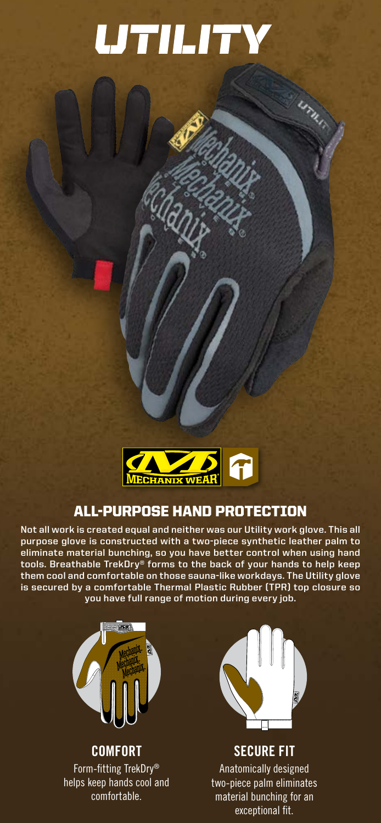# **UTILITY**

Uru.



# ALL-PURPOSE HAND PROTECTION

**Not all work is created equal and neither was our Utility work glove. This all purpose glove is constructed with a two-piece synthetic leather palm to eliminate material bunching, so you have better control when using hand tools. Breathable TrekDry® forms to the back of your hands to help keep them cool and comfortable on those sauna-like workdays. The Utility glove is secured by a comfortable Thermal Plastic Rubber (TPR) top closure so you have full range of motion during every job.** 



**COMFORT** Form-fitting TrekDry® helps keep hands cool and comfortable.



## **SECURE FIT**

Anatomically designed two-piece palm eliminates material bunching for an exceptional fit.